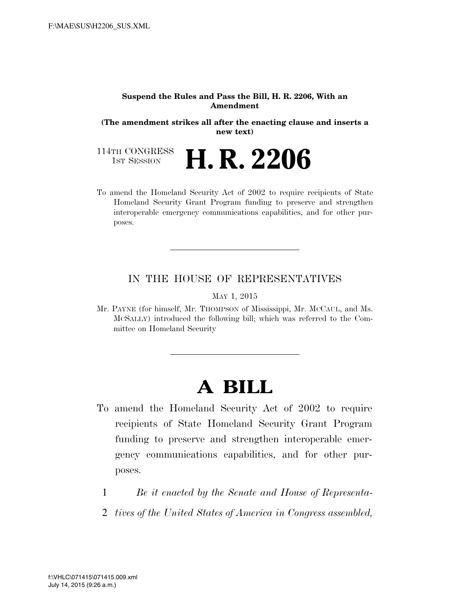#### **Suspend the Rules and Pass the Bill, H. R. 2206, With an Amendment**

**(The amendment strikes all after the enacting clause and inserts a new text)** 

114TH CONGRESS<br>1st Session 1ST SESSION **H. R. 2206** 

To amend the Homeland Security Act of 2002 to require recipients of State Homeland Security Grant Program funding to preserve and strengthen interoperable emergency communications capabilities, and for other purposes.

## IN THE HOUSE OF REPRESENTATIVES

### MAY 1, 2015

Mr. PAYNE (for himself, Mr. THOMPSON of Mississippi, Mr. MCCAUL, and Ms. MCSALLY) introduced the following bill; which was referred to the Committee on Homeland Security

# **A BILL**

- To amend the Homeland Security Act of 2002 to require recipients of State Homeland Security Grant Program funding to preserve and strengthen interoperable emergency communications capabilities, and for other purposes.
	- 1 *Be it enacted by the Senate and House of Representa-*
	- 2 *tives of the United States of America in Congress assembled,*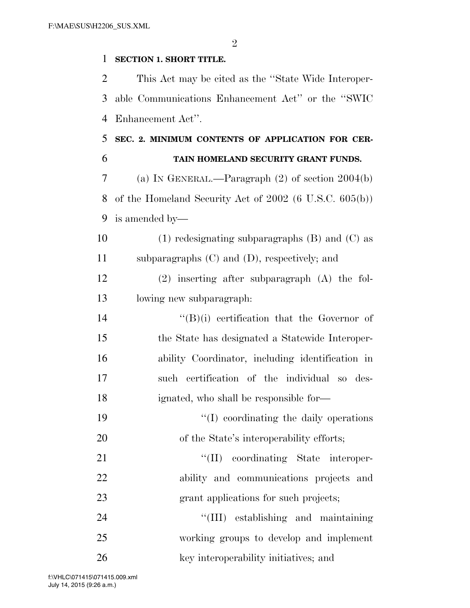$\mathfrak{D}$ 

## **SECTION 1. SHORT TITLE.**

 This Act may be cited as the ''State Wide Interoper- able Communications Enhancement Act'' or the ''SWIC Enhancement Act''.

# **SEC. 2. MINIMUM CONTENTS OF APPLICATION FOR CER-TAIN HOMELAND SECURITY GRANT FUNDS.**

 (a) IN GENERAL.—Paragraph (2) of section 2004(b) of the Homeland Security Act of 2002 (6 U.S.C. 605(b)) is amended by—

10 (1) redesignating subparagraphs  $(B)$  and  $(C)$  as subparagraphs (C) and (D), respectively; and

 (2) inserting after subparagraph (A) the fol-lowing new subparagraph:

 ''(B)(i) certification that the Governor of the State has designated a Statewide Interoper- ability Coordinator, including identification in such certification of the individual so des-ignated, who shall be responsible for—

19  $\frac{1}{2}$  (I) coordinating the daily operations 20 of the State's interoperability efforts;

21  $\text{``(II)}$  coordinating State interoper- ability and communications projects and grant applications for such projects;

 ''(III) establishing and maintaining working groups to develop and implement 26 key interoperability initiatives; and

July 14, 2015 (9:26 a.m.) f:\VHLC\071415\071415.009.xml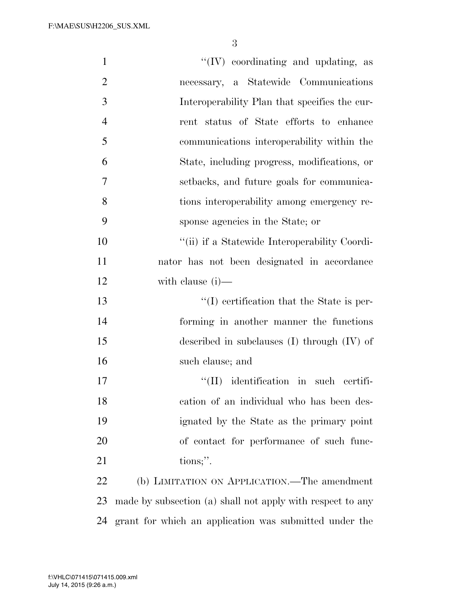| $\mathbf{1}$   | $\lq\lq$ (IV) coordinating and updating, as                |
|----------------|------------------------------------------------------------|
| $\overline{2}$ | necessary, a Statewide Communications                      |
| 3              | Interoperability Plan that specifies the cur-              |
| $\overline{4}$ | rent status of State efforts to enhance                    |
| 5              | communications interoperability within the                 |
| 6              | State, including progress, modifications, or               |
| $\overline{7}$ | setbacks, and future goals for communica-                  |
| 8              | tions interoperability among emergency re-                 |
| 9              | sponse agencies in the State; or                           |
| 10             | "(ii) if a Statewide Interoperability Coordi-              |
| 11             | nator has not been designated in accordance                |
| 12             | with clause $(i)$ —                                        |
| 13             | $\lq\lq$ certification that the State is per-              |
| 14             | forming in another manner the functions                    |
| 15             | described in subclauses $(I)$ through $(IV)$ of            |
| 16             | such clause; and                                           |
| 17             | "(II) identification in such certifi-                      |
| 18             | cation of an individual who has been des-                  |
| 19             | ignated by the State as the primary point                  |
| 20             | of contact for performance of such func-                   |
| 21             | tions;".                                                   |
| 22             | (b) LIMITATION ON APPLICATION.—The amendment               |
| 23             | made by subsection (a) shall not apply with respect to any |
|                |                                                            |